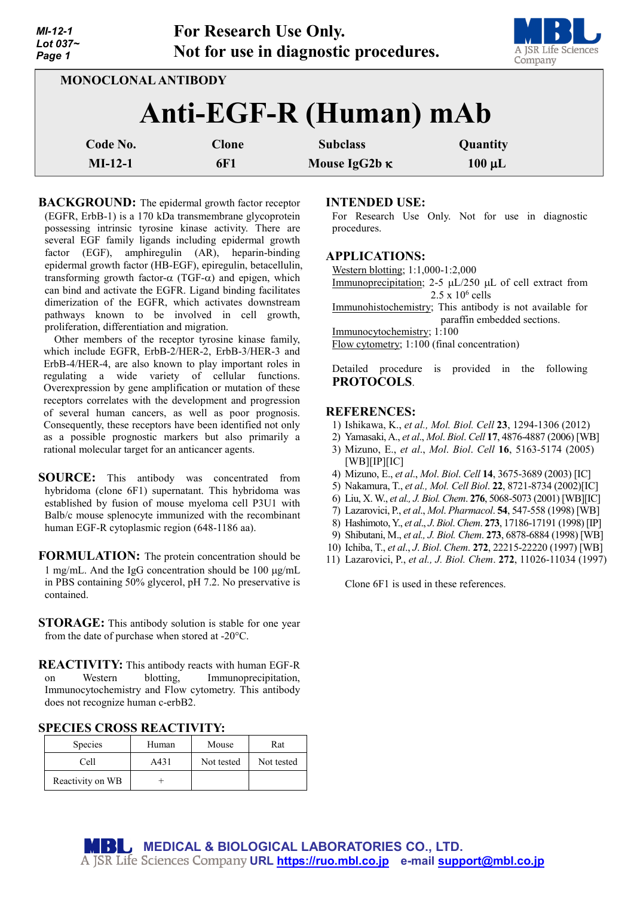| MI-12-1        |
|----------------|
| Lot 037 $\sim$ |
| Page 1         |



|                        |                     |                                         | -----                   |  |  |  |
|------------------------|---------------------|-----------------------------------------|-------------------------|--|--|--|
| MONOCLONAL ANTIBODY    |                     |                                         |                         |  |  |  |
| Anti-EGF-R (Human) mAb |                     |                                         |                         |  |  |  |
| Code No.<br>$MI-12-1$  | <b>Clone</b><br>6F1 | <b>Subclass</b><br>Mouse IgG2b $\kappa$ | Quantity<br>$100 \mu L$ |  |  |  |
|                        |                     |                                         |                         |  |  |  |

**BACKGROUND:** The epidermal growth factor receptor (EGFR, ErbB-1) is a 170 kDa transmembrane glycoprotein possessing intrinsic tyrosine kinase activity. There are several EGF family ligands including epidermal growth factor (EGF), amphiregulin (AR), heparin-binding epidermal growth factor (HB-EGF), epiregulin, betacellulin, transforming growth factor-α (TGF-α) and epigen, which can bind and activate the EGFR. Ligand binding facilitates dimerization of the EGFR, which activates downstream pathways known to be involved in cell growth, proliferation, differentiation and migration.

Other members of the receptor tyrosine kinase family, which include EGFR, ErbB-2/HER-2, ErbB-3/HER-3 and ErbB-4/HER-4, are also known to play important roles in regulating a wide variety of cellular functions. Overexpression by gene amplification or mutation of these receptors correlates with the development and progression of several human cancers, as well as poor prognosis. Consequently, these receptors have been identified not only as a possible prognostic markers but also primarily a rational molecular target for an anticancer agents.

- **SOURCE:** This antibody was concentrated from hybridoma (clone 6F1) supernatant. This hybridoma was established by fusion of mouse myeloma cell P3U1 with Balb/c mouse splenocyte immunized with the recombinant human EGF-R cytoplasmic region (648-1186 aa).
- **FORMULATION:** The protein concentration should be 1 mg/mL. And the IgG concentration should be 100 µg/mL in PBS containing 50% glycerol, pH 7.2. No preservative is contained.
- **STORAGE:** This antibody solution is stable for one year from the date of purchase when stored at -20°C.
- **REACTIVITY:** This antibody reacts with human EGF-R on Western blotting, Immunoprecipitation, Immunocytochemistry and Flow cytometry. This antibody does not recognize human c-erbB2.

|  | <b>SPECIES CROSS REACTIVITY:</b> |
|--|----------------------------------|
|--|----------------------------------|

| <b>Species</b>   | Human | Mouse      | Rat        |
|------------------|-------|------------|------------|
| Cell             | A431  | Not tested | Not tested |
| Reactivity on WB |       |            |            |

## **INTENDED USE:**

For Research Use Only. Not for use in diagnostic procedures.

### **APPLICATIONS:**

Western blotting; 1:1,000-1:2,000 Immunoprecipitation;  $2-5 \mu L/250 \mu L$  of cell extract from  $2.5 \times 10^6$  cells Immunohistochemistry; This antibody is not available for paraffin embedded sections. Immunocytochemistry; 1:100 Flow cytometry; 1:100 (final concentration)

Detailed procedure is provided in the following **PROTOCOLS**.

### **REFERENCES:**

- 1) Ishikawa, K., *et al., Mol. Biol. Cell* **23**, 1294-1306 (2012)
- 2) Yamasaki, A., *et al*., *Mol*. *Biol*. *Cell* **17**, 4876-4887 (2006) [WB]
- 3) Mizuno, E., *et al*., *Mol*. *Biol*. *Cell* **16**, 5163-5174 (2005)  $[WB][IP][IC]$
- 4) Mizuno, E., *et al*., *Mol*. *Biol*. *Cell* **14**, 3675-3689 (2003) [IC]
- 5) Nakamura, T., *et al., Mol. Cell Biol*. **22**, 8721-8734 (2002)[IC]
- 6) Liu, X. W., *et al., J. Biol. Chem*. **276**, 5068-5073 (2001) [WB][IC]
- 7) Lazarovici, P., *et al*., *Mol*. *Pharmacol*. **54**, 547-558 (1998) [WB]
- 8) Hashimoto, Y., *et al*., *J*. *Biol*. *Chem*. **273**, 17186-17191 (1998) [IP]
- 9) Shibutani, M., *et al., J. Biol. Chem*. **273**, 6878-6884 (1998) [WB]
- 10) Ichiba, T., *et al*., *J*. *Biol*. *Chem*. **272**, 22215-22220 (1997) [WB]
- 11) Lazarovici, P., *et al., J. Biol. Chem*. **272**, 11026-11034 (1997)

Clone 6F1 is used in these references.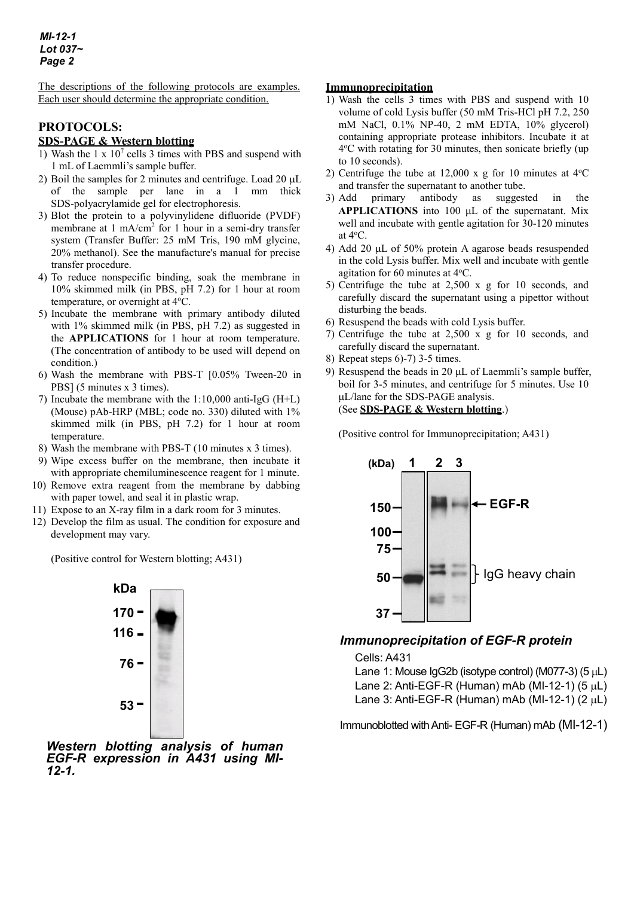The descriptions of the following protocols are examples. Each user should determine the appropriate condition.

## **PROTOCOLS: SDS-PAGE & Western blotting**

- 1) Wash the 1 x 107 cells 3 times with PBS and suspend with 1 mL of Laemmli's sample buffer.
- 2) Boil the samples for 2 minutes and centrifuge. Load  $20 \mu L$ of the sample per lane in a 1 mm thick SDS-polyacrylamide gel for electrophoresis.
- 3) Blot the protein to a polyvinylidene difluoride (PVDF) membrane at 1 mA/cm<sup>2</sup> for 1 hour in a semi-dry transfer system (Transfer Buffer: 25 mM Tris, 190 mM glycine, 20% methanol). See the manufacture's manual for precise transfer procedure.
- 4) To reduce nonspecific binding, soak the membrane in 10% skimmed milk (in PBS, pH 7.2) for 1 hour at room temperature, or overnight at 4°C.
- 5) Incubate the membrane with primary antibody diluted with 1% skimmed milk (in PBS, pH 7.2) as suggested in the **APPLICATIONS** for 1 hour at room temperature. (The concentration of antibody to be used will depend on condition.)
- 6) Wash the membrane with PBS-T [0.05% Tween-20 in PBS] (5 minutes x 3 times).
- 7) Incubate the membrane with the 1:10,000 anti-IgG (H+L) (Mouse) pAb-HRP (MBL; code no. 330) diluted with 1% skimmed milk (in PBS, pH 7.2) for 1 hour at room temperature.
- 8) Wash the membrane with PBS-T (10 minutes x 3 times).
- 9) Wipe excess buffer on the membrane, then incubate it with appropriate chemiluminescence reagent for 1 minute.
- 10) Remove extra reagent from the membrane by dabbing with paper towel, and seal it in plastic wrap.
- 11) Expose to an X-ray film in a dark room for 3 minutes.
- 12) Develop the film as usual. The condition for exposure and development may vary.

(Positive control for Western blotting; A431)



*Western blotting analysis of human EGF-R expression in A431 using MI- 12-1.*

### **Immunoprecipitation**

- 1) Wash the cells 3 times with PBS and suspend with 10 volume of cold Lysis buffer (50 mM Tris-HCl pH 7.2, 250 mM NaCl, 0.1% NP-40, 2 mM EDTA, 10% glycerol) containing appropriate protease inhibitors. Incubate it at 4°C with rotating for 30 minutes, then sonicate briefly (up to 10 seconds).
- 2) Centrifuge the tube at  $12,000 \times g$  for 10 minutes at  $4^{\circ}$ C and transfer the supernatant to another tube.
- 3) Add primary antibody as suggested in the **APPLICATIONS** into 100 µL of the supernatant. Mix well and incubate with gentle agitation for 30-120 minutes at  $4^{\circ}$ C.
- 4) Add 20 µL of 50% protein A agarose beads resuspended in the cold Lysis buffer. Mix well and incubate with gentle agitation for 60 minutes at 4°C.
- 5) Centrifuge the tube at 2,500 x g for 10 seconds, and carefully discard the supernatant using a pipettor without disturbing the beads.
- 6) Resuspend the beads with cold Lysis buffer.
- 7) Centrifuge the tube at 2,500 x g for 10 seconds, and carefully discard the supernatant.
- 8) Repeat steps 6)-7) 3-5 times.
- 9) Resuspend the beads in 20 µL of Laemmli's sample buffer, boil for 3-5 minutes, and centrifuge for 5 minutes. Use 10 µL/lane for the SDS-PAGE analysis. (See **SDS-PAGE & Western blotting**.)

(Positive control for Immunoprecipitation; A431)



# *Immunoprecipitation of EGF-R protein*

Cells: A431

Lane 1: Mouse  $lgG2b$  (isotype control) (M077-3) (5  $\mu$ L) Lane 2: Anti-EGF-R (Human) mAb (MI-12-1) (5  $\mu$ L) Lane 3: Anti-EGF-R (Human) mAb (MI-12-1)  $(2 \mu L)$ 

Immunoblotted with Anti- EGF-R (Human) mAb (MI-12-1)